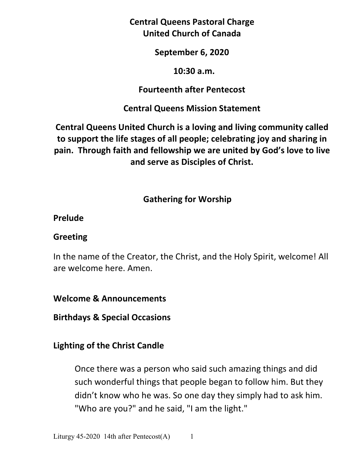**Central Queens Pastoral Charge United Church of Canada** 

#### **September 6, 2020**

#### **10:30 a.m.**

## **Fourteenth after Pentecost**

## **Central Queens Mission Statement**

**Central Queens United Church is a loving and living community called to support the life stages of all people; celebrating joy and sharing in pain. Through faith and fellowship we are united by God's love to live and serve as Disciples of Christ.**

# **Gathering for Worship**

### **Prelude**

## **Greeting**

In the name of the Creator, the Christ, and the Holy Spirit, welcome! All are welcome here. Amen.

**Welcome & Announcements** 

**Birthdays & Special Occasions** 

# **Lighting of the Christ Candle**

Once there was a person who said such amazing things and did such wonderful things that people began to follow him. But they didn't know who he was. So one day they simply had to ask him. "Who are you?" and he said, "I am the light."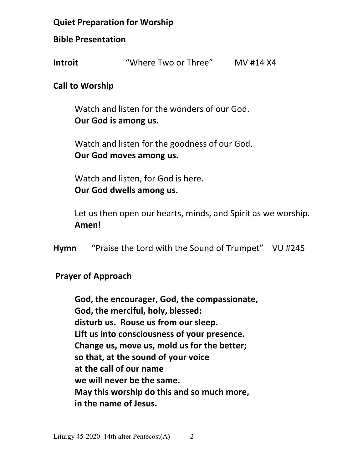## **Quiet Preparation for Worship**

### **Bible Presentation**

| <b>Introit</b> | "Where Two or Three" | MV #14 X4 |
|----------------|----------------------|-----------|
|----------------|----------------------|-----------|

#### **Call to Worship**

 Watch and listen for the wonders of our God. **Our God is among us.** 

 Watch and listen for the goodness of our God. **Our God moves among us.** 

 Watch and listen, for God is here. **Our God dwells among us.** 

Let us then open our hearts, minds, and Spirit as we worship. **Amen!** 

**Hymn** "Praise the Lord with the Sound of Trumpet"VU #245

**Prayer of Approach**

 **God, the encourager, God, the compassionate, God, the merciful, holy, blessed: disturb us. Rouse us from our sleep. Lift us into consciousness of your presence. Change us, move us, mold us for the better; so that, at the sound of your voice at the call of our name we will never be the same. May this worship do this and so much more, in the name of Jesus.**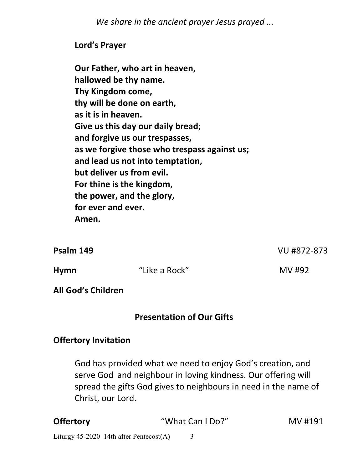*We share in the ancient prayer Jesus prayed ...*

 **Lord's Prayer** 

**Our Father, who art in heaven, hallowed be thy name. Thy Kingdom come, thy will be done on earth, as it is in heaven. Give us this day our daily bread; and forgive us our trespasses, as we forgive those who trespass against us; and lead us not into temptation, but deliver us from evil. For thine is the kingdom, the power, and the glory, for ever and ever. Amen.** 

**Psalm 149** VU #872-873

**Hymn**  $\qquad$  "Like a Rock" MV #92

**All God's Children** 

## **Presentation of Our Gifts**

## **Offertory Invitation**

 God has provided what we need to enjoy God's creation, and serve God and neighbour in loving kindness. Our offering will spread the gifts God gives to neighbours in need in the name of Christ, our Lord.

| <b>Offertory</b> |                                         | "What Can I Do?" | MV #191 |
|------------------|-----------------------------------------|------------------|---------|
|                  | Liturgy 45-2020 14th after Pentecost(A) |                  |         |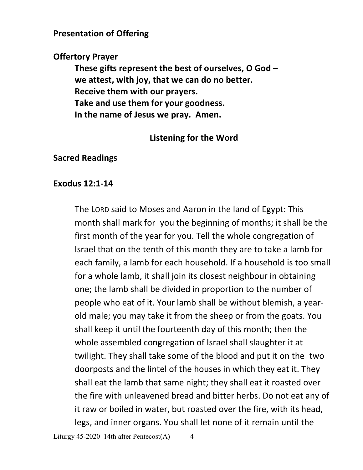#### **Presentation of Offering**

**Offertory Prayer** 

**These gifts represent the best of ourselves, O God – we attest, with joy, that we can do no better. Receive them with our prayers. Take and use them for your goodness. In the name of Jesus we pray. Amen.** 

**Listening for the Word**

#### **Sacred Readings**

#### **Exodus 12:1-14**

The LORD said to Moses and Aaron in the land of Egypt: This month shall mark for you the beginning of months; it shall be the first month of the year for you. Tell the whole congregation of Israel that on the tenth of this month they are to take a lamb for each family, a lamb for each household. If a household is too small for a whole lamb, it shall join its closest neighbour in obtaining one; the lamb shall be divided in proportion to the number of people who eat of it. Your lamb shall be without blemish, a yearold male; you may take it from the sheep or from the goats. You shall keep it until the fourteenth day of this month; then the whole assembled congregation of Israel shall slaughter it at twilight. They shall take some of the blood and put it on the two doorposts and the lintel of the houses in which they eat it. They shall eat the lamb that same night; they shall eat it roasted over the fire with unleavened bread and bitter herbs. Do not eat any of it raw or boiled in water, but roasted over the fire, with its head, legs, and inner organs. You shall let none of it remain until the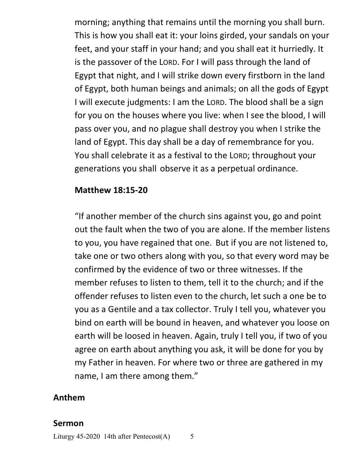morning; anything that remains until the morning you shall burn. This is how you shall eat it: your loins girded, your sandals on your feet, and your staff in your hand; and you shall eat it hurriedly. It is the passover of the LORD. For I will pass through the land of Egypt that night, and I will strike down every firstborn in the land of Egypt, both human beings and animals; on all the gods of Egypt I will execute judgments: I am the LORD. The blood shall be a sign for you on the houses where you live: when I see the blood, I will pass over you, and no plague shall destroy you when I strike the land of Egypt. This day shall be a day of remembrance for you. You shall celebrate it as a festival to the LORD; throughout your generations you shall observe it as a perpetual ordinance.

#### **Matthew 18:15-20**

"If another member of the church sins against you, go and point out the fault when the two of you are alone. If the member listens to you, you have regained that one. But if you are not listened to, take one or two others along with you, so that every word may be confirmed by the evidence of two or three witnesses. If the member refuses to listen to them, tell it to the church; and if the offender refuses to listen even to the church, let such a one be to you as a Gentile and a tax collector. Truly I tell you, whatever you bind on earth will be bound in heaven, and whatever you loose on earth will be loosed in heaven. Again, truly I tell you, if two of you agree on earth about anything you ask, it will be done for you by my Father in heaven. For where two or three are gathered in my name, I am there among them."

#### **Anthem**

#### **Sermon**

Liturgy  $45-2020$  14th after Pentecost(A)  $5$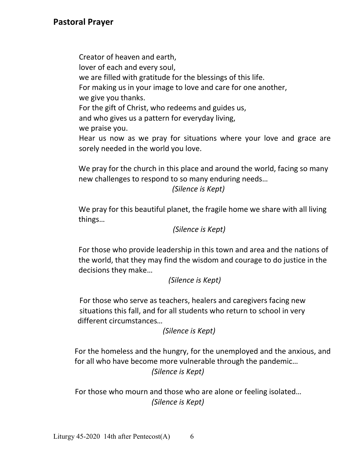## **Pastoral Prayer**

 Creator of heaven and earth, lover of each and every soul, we are filled with gratitude for the blessings of this life. For making us in your image to love and care for one another, we give you thanks. For the gift of Christ, who redeems and guides us, and who gives us a pattern for everyday living, we praise you. Hear us now as we pray for situations where your love and grace are sorely needed in the world you love.

 We pray for the church in this place and around the world, facing so many new challenges to respond to so many enduring needs…

 *(Silence is Kept)* 

 We pray for this beautiful planet, the fragile home we share with all living things…

#### *(Silence is Kept)*

 For those who provide leadership in this town and area and the nations of the world, that they may find the wisdom and courage to do justice in the decisions they make…

#### *(Silence is Kept)*

 For those who serve as teachers, healers and caregivers facing new situations this fall, and for all students who return to school in very different circumstances*…*

```
 (Silence is Kept)
```
For the homeless and the hungry, for the unemployed and the anxious, and for all who have become more vulnerable through the pandemic…  *(Silence is Kept)* 

 For those who mourn and those who are alone or feeling isolated…  *(Silence is Kept)*